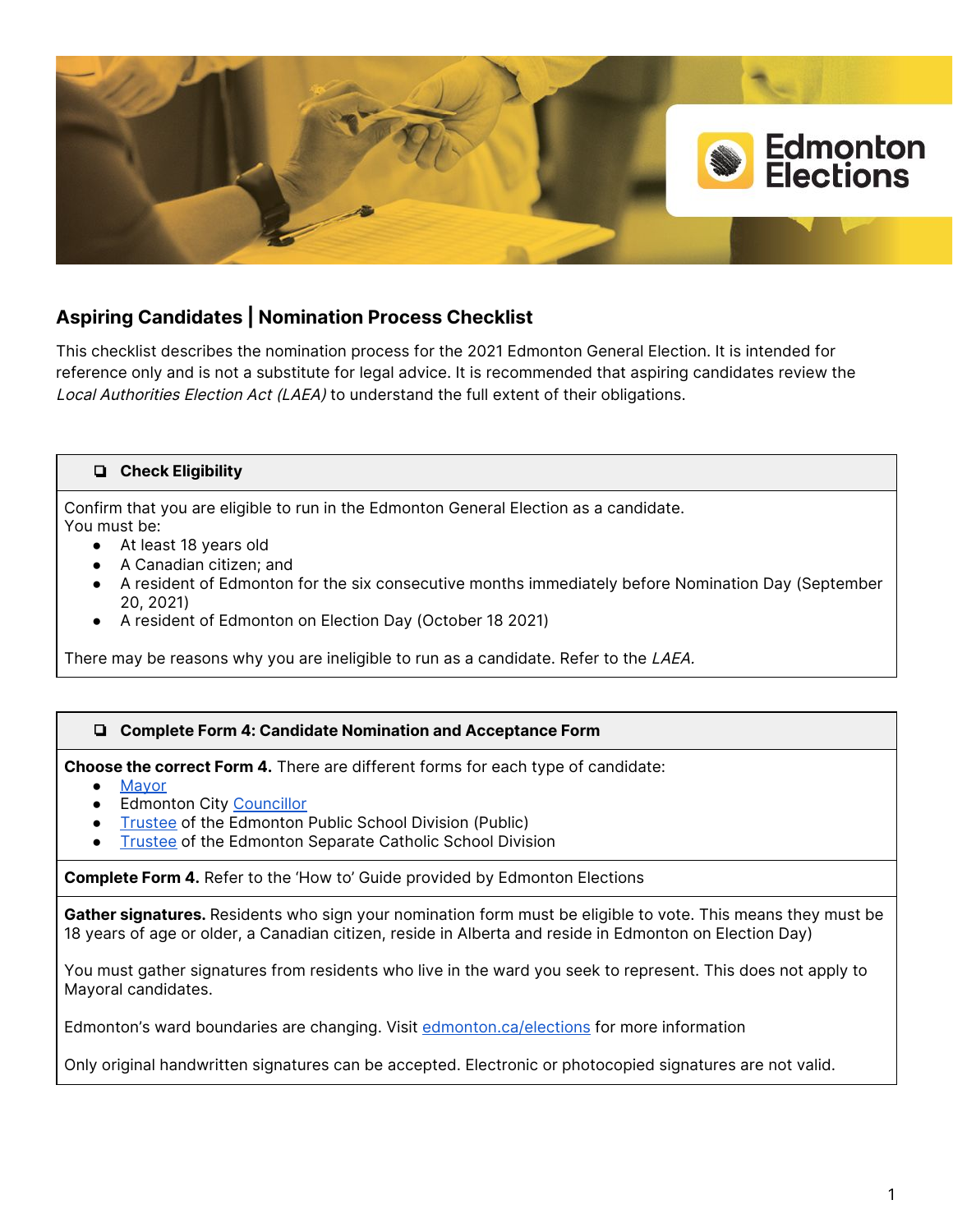

# **Aspiring Candidates | Nomination Process Checklist**

This checklist describes the nomination process for the 2021 Edmonton General Election. It is intended for reference only and is not a substitute for legal advice. It is recommended that aspiring candidates review the Local Authorities Election Act (LAEA) to understand the full extent of their obligations.

## ❏ **Check Eligibility**

Confirm that you are eligible to run in the Edmonton General Election as a candidate. You must be:

- At least 18 years old
- A Canadian citizen; and
- A resident of Edmonton for the six consecutive months immediately before Nomination Day (September 20, 2021)
- A resident of Edmonton on Election Day (October 18 2021)

There may be reasons why you are ineligible to run as a candidate. Refer to the LAEA.

## ❏ **Complete Form 4: Candidate Nomination and Acceptance Form**

**Choose the correct Form 4.** There are different forms for each type of candidate:

- [Mayor](https://www.edmonton.ca/city_government/documents/elections/2021_Form_04_Mayor_Nomination_LGS0753.pdf)
- Edmonton City [Councillor](https://www.edmonton.ca/city_government/documents/elections/2021_Form_04_Councillor_Nomination_LGS0753.pdf)
- [Trustee](https://www.edmonton.ca/city_government/documents/elections/2021_Form_04_Public_School_Trustee_LGS0753.pdf) of the Edmonton Public School Division (Public)
- **[Trustee](https://www.edmonton.ca/city_government/documents/elections/2021_Form_04_Catholic_School_Trustee_LGS0753.pdf) of the Edmonton Separate Catholic School Division**

**Complete Form 4.** Refer to the 'How to' Guide provided by Edmonton Elections

**Gather signatures.** Residents who sign your nomination form must be eligible to vote. This means they must be 18 years of age or older, a Canadian citizen, reside in Alberta and reside in Edmonton on Election Day)

You must gather signatures from residents who live in the ward you seek to represent. This does not apply to Mayoral candidates.

Edmonton's ward boundaries are changing. Visit [edmonton.ca/elections](https://www.edmonton.ca/city_government/edmonton-elections.aspx) for more information

Only original handwritten signatures can be accepted. Electronic or photocopied signatures are not valid.